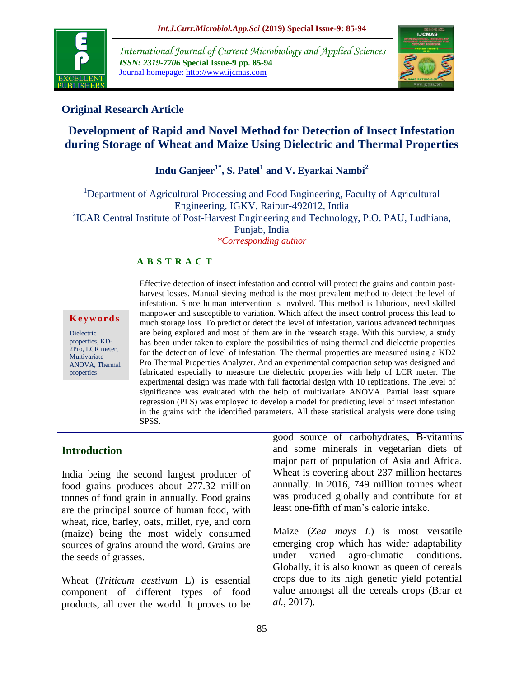

*International Journal of Current Microbiology and Applied Sciences ISSN: 2319-7706* **Special Issue-9 pp. 85-94** Journal homepage: http://www.ijcmas.com



# **Original Research Article**

# **Development of Rapid and Novel Method for Detection of Insect Infestation during Storage of Wheat and Maize Using Dielectric and Thermal Properties**

# **Indu Ganjeer1\*, S. Patel<sup>1</sup> and V. Eyarkai Nambi<sup>2</sup>**

<sup>1</sup>Department of Agricultural Processing and Food Engineering, Faculty of Agricultural Engineering, IGKV, Raipur-492012, India <sup>2</sup>ICAR Central Institute of Post-Harvest Engineering and Technology, P.O. PAU, Ludhiana, Punjab, India

*\*Corresponding author*

# **A B S T R A C T**

#### **K e y w o r d s**

Dielectric properties, KD-2Pro, LCR meter, **Multivariate** ANOVA, Thermal properties

Effective detection of insect infestation and control will protect the grains and contain postharvest losses. Manual sieving method is the most prevalent method to detect the level of infestation. Since human intervention is involved. This method is laborious, need skilled manpower and susceptible to variation. Which affect the insect control process this lead to much storage loss. To predict or detect the level of infestation, various advanced techniques are being explored and most of them are in the research stage. With this purview, a study has been under taken to explore the possibilities of using thermal and dielectric properties for the detection of level of infestation. The thermal properties are measured using a KD2 Pro Thermal Properties Analyzer. And an experimental compaction setup was designed and fabricated especially to measure the dielectric properties with help of LCR meter. The experimental design was made with full factorial design with 10 replications. The level of significance was evaluated with the help of multivariate ANOVA. Partial least square regression (PLS) was employed to develop a model for predicting level of insect infestation in the grains with the identified parameters. All these statistical analysis were done using SPSS.

# **Introduction**

India being the second largest producer of food grains produces about 277.32 million tonnes of food grain in annually. Food grains are the principal source of human food, with wheat, rice, barley, oats, millet, rye, and corn (maize) being the most widely consumed sources of grains around the word. Grains are the seeds of grasses.

Wheat (*Triticum aestivum* L) is essential component of different types of food products, all over the world. It proves to be good source of carbohydrates, B-vitamins and some minerals in vegetarian diets of major part of population of Asia and Africa. Wheat is covering about 237 million hectares annually. In 2016, 749 million tonnes wheat was produced globally and contribute for at least one-fifth of man's calorie intake.

Maize (*Zea mays L*) is most versatile emerging crop which has wider adaptability under varied agro-climatic conditions. Globally, it is also known as queen of cereals crops due to its high genetic yield potential value amongst all the cereals crops (Brar *et al.,* 2017).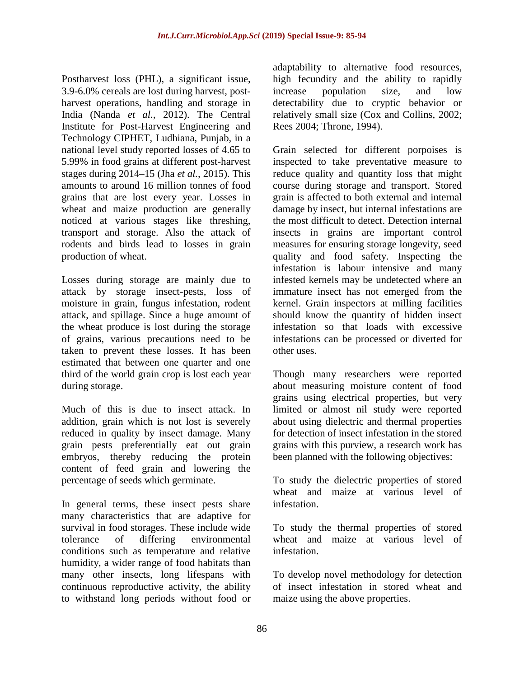Postharvest loss (PHL), a significant issue, 3.9-6.0% cereals are lost during harvest, postharvest operations, handling and storage in India (Nanda *et al.,* 2012). The Central Institute for Post-Harvest Engineering and Technology CIPHET, Ludhiana, Punjab, in a national level study reported losses of 4.65 to 5.99% in food grains at different post-harvest stages during 2014–15 (Jha *et al.,* 2015). This amounts to around 16 million tonnes of food grains that are lost every year. Losses in wheat and maize production are generally noticed at various stages like threshing, transport and storage. Also the attack of rodents and birds lead to losses in grain production of wheat.

Losses during storage are mainly due to attack by storage insect-pests, loss of moisture in grain, fungus infestation, rodent attack, and spillage. Since a huge amount of the wheat produce is lost during the storage of grains, various precautions need to be taken to prevent these losses. It has been estimated that between one quarter and one third of the world grain crop is lost each year during storage.

Much of this is due to insect attack. In addition, grain which is not lost is severely reduced in quality by insect damage. Many grain pests preferentially eat out grain embryos, thereby reducing the protein content of feed grain and lowering the percentage of seeds which germinate.

In general terms, these insect pests share many characteristics that are adaptive for survival in food storages. These include wide tolerance of differing environmental conditions such as temperature and relative humidity, a wider range of food habitats than many other insects, long lifespans with continuous reproductive activity, the ability to withstand long periods without food or

adaptability to alternative food resources, high fecundity and the ability to rapidly increase population size, and low detectability due to cryptic behavior or relatively small size (Cox and Collins, 2002; Rees 2004; Throne, 1994).

Grain selected for different porpoises is inspected to take preventative measure to reduce quality and quantity loss that might course during storage and transport. Stored grain is affected to both external and internal damage by insect, but internal infestations are the most difficult to detect. Detection internal insects in grains are important control measures for ensuring storage longevity, seed quality and food safety. Inspecting the infestation is labour intensive and many infested kernels may be undetected where an immature insect has not emerged from the kernel. Grain inspectors at milling facilities should know the quantity of hidden insect infestation so that loads with excessive infestations can be processed or diverted for other uses.

Though many researchers were reported about measuring moisture content of food grains using electrical properties, but very limited or almost nil study were reported about using dielectric and thermal properties for detection of insect infestation in the stored grains with this purview, a research work has been planned with the following objectives:

To study the dielectric properties of stored wheat and maize at various level of infestation.

To study the thermal properties of stored wheat and maize at various level of infestation.

To develop novel methodology for detection of insect infestation in stored wheat and maize using the above properties.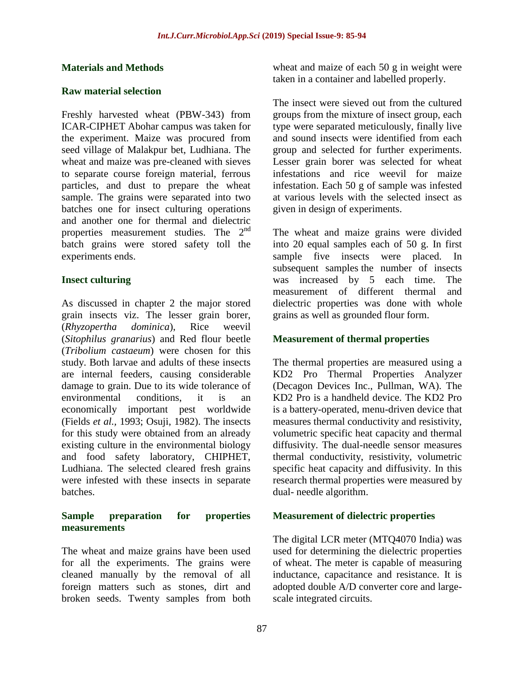#### **Materials and Methods**

#### **Raw material selection**

Freshly harvested wheat (PBW-343) from ICAR-CIPHET Abohar campus was taken for the experiment. Maize was procured from seed village of Malakpur bet, Ludhiana. The wheat and maize was pre-cleaned with sieves to separate course foreign material, ferrous particles, and dust to prepare the wheat sample. The grains were separated into two batches one for insect culturing operations and another one for thermal and dielectric properties measurement studies. The  $2<sup>nd</sup>$ batch grains were stored safety toll the experiments ends.

#### **Insect culturing**

As discussed in chapter 2 the major stored grain insects viz. The lesser grain borer, (*Rhyzopertha dominica*), Rice weevil (*Sitophilus granarius*) and Red flour beetle (*Tribolium castaeum*) were chosen for this study. Both larvae and adults of these insects are internal feeders, causing considerable damage to grain. Due to its wide tolerance of environmental conditions, it is an economically important pest worldwide (Fields *et al.,* 1993; Osuji, 1982). The insects for this study were obtained from an already existing culture in the environmental biology and food safety laboratory, CHIPHET, Ludhiana. The selected cleared fresh grains were infested with these insects in separate batches.

#### **Sample preparation for properties measurements**

The wheat and maize grains have been used for all the experiments. The grains were cleaned manually by the removal of all foreign matters such as stones, dirt and broken seeds. Twenty samples from both wheat and maize of each 50 g in weight were taken in a container and labelled properly.

The insect were sieved out from the cultured groups from the mixture of insect group, each type were separated meticulously, finally live and sound insects were identified from each group and selected for further experiments. Lesser grain borer was selected for wheat infestations and rice weevil for maize infestation. Each 50 g of sample was infested at various levels with the selected insect as given in design of experiments.

The wheat and maize grains were divided into 20 equal samples each of 50 g. In first sample five insects were placed. In subsequent samples the number of insects was increased by 5 each time. The measurement of different thermal and dielectric properties was done with whole grains as well as grounded flour form.

#### **Measurement of thermal properties**

The thermal properties are measured using a KD2 Pro Thermal Properties Analyzer (Decagon Devices Inc., Pullman, WA). The KD2 Pro is a handheld device. The KD2 Pro is a battery-operated, menu-driven device that measures thermal conductivity and resistivity, volumetric specific heat capacity and thermal diffusivity. The dual-needle sensor measures thermal conductivity, resistivity, volumetric specific heat capacity and diffusivity. In this research thermal properties were measured by dual- needle algorithm.

#### **Measurement of dielectric properties**

The digital LCR meter (MTQ4070 India) was used for determining the dielectric properties of wheat. The meter is capable of measuring inductance, capacitance and resistance. It is adopted double A/D converter core and largescale integrated circuits.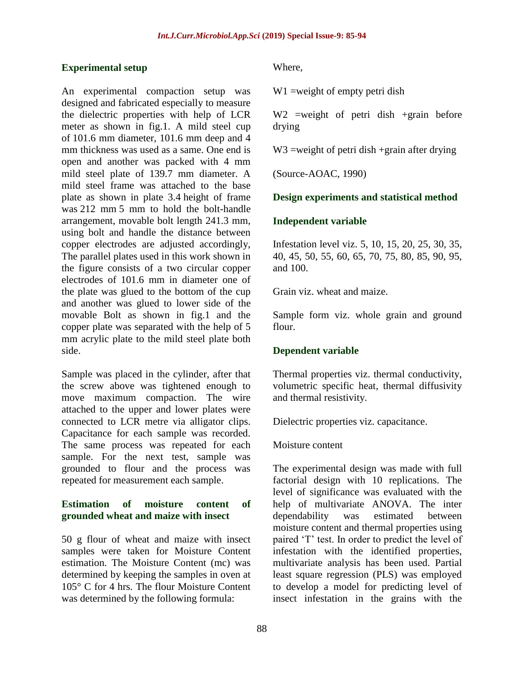#### **Experimental setup**

An experimental compaction setup was designed and fabricated especially to measure the dielectric properties with help of LCR meter as shown in fig.1. A mild steel cup of 101.6 mm diameter, 101.6 mm deep and 4 mm thickness was used as a same. One end is open and another was packed with 4 mm mild steel plate of 139.7 mm diameter. A mild steel frame was attached to the base plate as shown in plate 3.4 height of frame was 212 mm 5 mm to hold the bolt-handle arrangement, movable bolt length 241.3 mm, using bolt and handle the distance between copper electrodes are adjusted accordingly, The parallel plates used in this work shown in the figure consists of a two circular copper electrodes of 101.6 mm in diameter one of the plate was glued to the bottom of the cup and another was glued to lower side of the movable Bolt as shown in fig.1 and the copper plate was separated with the help of 5 mm acrylic plate to the mild steel plate both side.

Sample was placed in the cylinder, after that the screw above was tightened enough to move maximum compaction. The wire attached to the upper and lower plates were connected to LCR metre via alligator clips. Capacitance for each sample was recorded. The same process was repeated for each sample. For the next test, sample was grounded to flour and the process was repeated for measurement each sample.

### **Estimation of moisture content of grounded wheat and maize with insect**

50 g flour of wheat and maize with insect samples were taken for Moisture Content estimation. The Moisture Content (mc) was determined by keeping the samples in oven at 105° C for 4 hrs. The flour Moisture Content was determined by the following formula:

Where,

W<sub>1</sub> =weight of empty petri dish

W<sub>2</sub> =weight of petri dish +grain before drying

W<sub>3</sub> = weight of petri dish + grain after drying

(Source-AOAC, 1990)

### **Design experiments and statistical method**

### **Independent variable**

Infestation level viz. 5, 10, 15, 20, 25, 30, 35, 40, 45, 50, 55, 60, 65, 70, 75, 80, 85, 90, 95, and 100.

Grain viz. wheat and maize.

Sample form viz. whole grain and ground flour.

#### **Dependent variable**

Thermal properties viz. thermal conductivity, volumetric specific heat, thermal diffusivity and thermal resistivity.

Dielectric properties viz. capacitance.

Moisture content

The experimental design was made with full factorial design with 10 replications. The level of significance was evaluated with the help of multivariate ANOVA. The inter dependability was estimated between moisture content and thermal properties using paired 'T' test. In order to predict the level of infestation with the identified properties, multivariate analysis has been used. Partial least square regression (PLS) was employed to develop a model for predicting level of insect infestation in the grains with the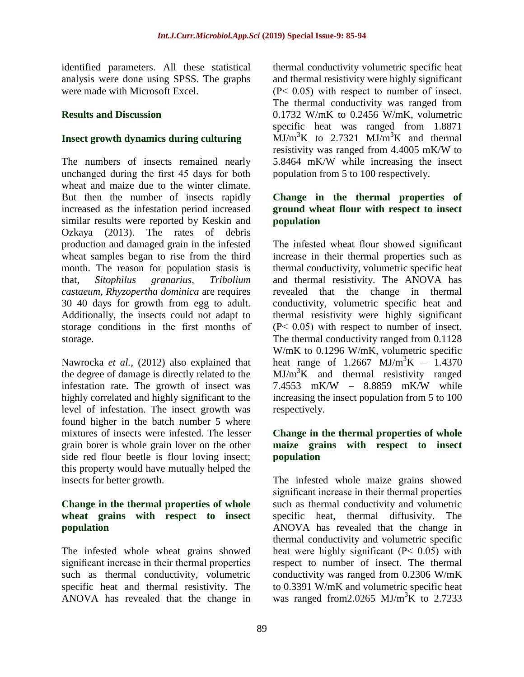identified parameters. All these statistical analysis were done using SPSS. The graphs were made with Microsoft Excel.

## **Results and Discussion**

# **Insect growth dynamics during culturing**

The numbers of insects remained nearly unchanged during the first 45 days for both wheat and maize due to the winter climate. But then the number of insects rapidly increased as the infestation period increased similar results were reported by Keskin and Ozkaya (2013). The rates of debris production and damaged grain in the infested wheat samples began to rise from the third month. The reason for population stasis is that, *Sitophilus granarius, Tribolium castaeum*, *Rhyzopertha dominica* are requires 30–40 days for growth from egg to adult. Additionally, the insects could not adapt to storage conditions in the first months of storage.

Nawrocka *et al.,* (2012) also explained that the degree of damage is directly related to the infestation rate. The growth of insect was highly correlated and highly significant to the level of infestation. The insect growth was found higher in the batch number 5 where mixtures of insects were infested. The lesser grain borer is whole grain lover on the other side red flour beetle is flour loving insect; this property would have mutually helped the insects for better growth.

### **Change in the thermal properties of whole wheat grains with respect to insect population**

The infested whole wheat grains showed significant increase in their thermal properties such as thermal conductivity, volumetric specific heat and thermal resistivity. The ANOVA has revealed that the change in

thermal conductivity volumetric specific heat and thermal resistivity were highly significant  $(P< 0.05)$  with respect to number of insect. The thermal conductivity was ranged from 0.1732 W/mK to 0.2456 W/mK, volumetric specific heat was ranged from 1.8871  $\text{MJ/m}^3\text{K}$  to 2.7321  $\text{MJ/m}^3\text{K}$  and thermal resistivity was ranged from 4.4005 mK/W to 5.8464 mK/W while increasing the insect population from 5 to 100 respectively.

# **Change in the thermal properties of ground wheat flour with respect to insect population**

The infested wheat flour showed significant increase in their thermal properties such as thermal conductivity, volumetric specific heat and thermal resistivity. The ANOVA has revealed that the change in thermal conductivity, volumetric specific heat and thermal resistivity were highly significant  $(P< 0.05)$  with respect to number of insect. The thermal conductivity ranged from 0.1128 W/mK to 0.1296 W/mK, volumetric specific heat range of  $1.2667$  MJ/m<sup>3</sup>K – 1.4370  $MJ/m<sup>3</sup>K$  and thermal resistivity ranged 7.4553 mK/W – 8.8859 mK/W while increasing the insect population from 5 to 100 respectively.

## **Change in the thermal properties of whole maize grains with respect to insect population**

The infested whole maize grains showed significant increase in their thermal properties such as thermal conductivity and volumetric specific heat, thermal diffusivity. The ANOVA has revealed that the change in thermal conductivity and volumetric specific heat were highly significant (P< 0.05) with respect to number of insect. The thermal conductivity was ranged from 0.2306 W/mK to 0.3391 W/mK and volumetric specific heat was ranged from 2.0265 MJ/m<sup>3</sup>K to 2.7233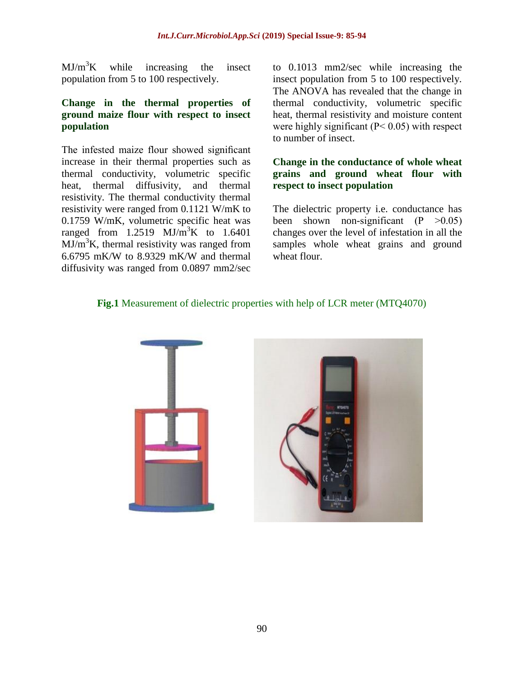$MJ/m<sup>3</sup>K$  while increasing the insect population from 5 to 100 respectively.

### **Change in the thermal properties of ground maize flour with respect to insect population**

The infested maize flour showed significant increase in their thermal properties such as thermal conductivity, volumetric specific heat, thermal diffusivity, and thermal resistivity. The thermal conductivity thermal resistivity were ranged from 0.1121 W/mK to 0.1759 W/mK, volumetric specific heat was ranged from  $1.2519$  MJ/m<sup>3</sup>K to  $1.6401$  $MJ/m<sup>3</sup>K$ , thermal resistivity was ranged from 6.6795 mK/W to 8.9329 mK/W and thermal diffusivity was ranged from 0.0897 mm2/sec

to 0.1013 mm2/sec while increasing the insect population from 5 to 100 respectively. The ANOVA has revealed that the change in thermal conductivity, volumetric specific heat, thermal resistivity and moisture content were highly significant  $(P< 0.05)$  with respect to number of insect.

## **Change in the conductance of whole wheat grains and ground wheat flour with respect to insect population**

The dielectric property i.e. conductance has been shown non-significant  $(P \ge 0.05)$ changes over the level of infestation in all the samples whole wheat grains and ground wheat flour.

# **Fig.1** Measurement of dielectric properties with help of LCR meter (MTQ4070)

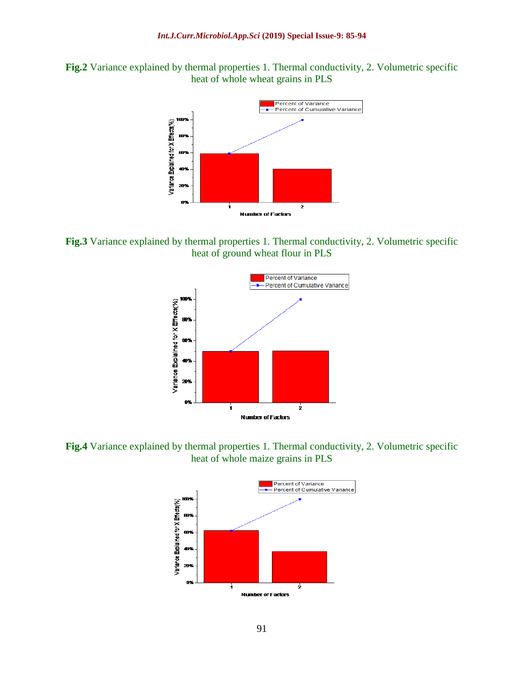**Fig.2** Variance explained by thermal properties 1. Thermal conductivity, 2. Volumetric specific heat of whole wheat grains in PLS



**Fig.3** Variance explained by thermal properties 1. Thermal conductivity, 2. Volumetric specific heat of ground wheat flour in PLS



**Fig.4** Variance explained by thermal properties 1. Thermal conductivity, 2. Volumetric specific heat of whole maize grains in PLS

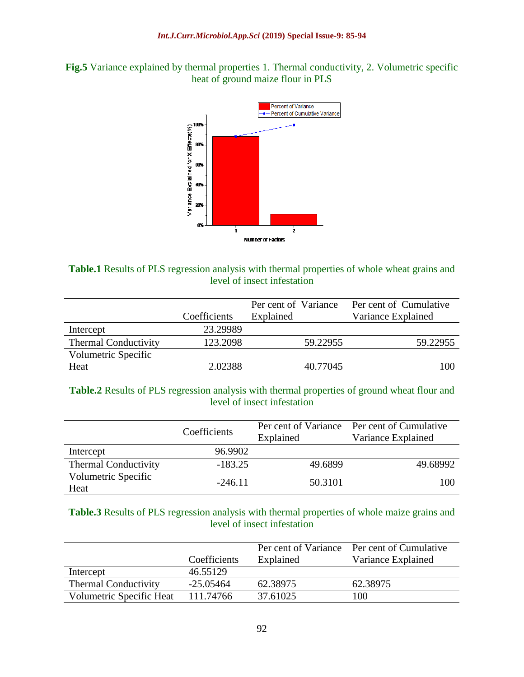



**Table.1** Results of PLS regression analysis with thermal properties of whole wheat grains and level of insect infestation

|                             |              | Per cent of Variance | Per cent of Cumulative |
|-----------------------------|--------------|----------------------|------------------------|
|                             | Coefficients | Explained            | Variance Explained     |
| Intercept                   | 23.29989     |                      |                        |
| <b>Thermal Conductivity</b> | 123.2098     | 59.22955             | 59.22955               |
| Volumetric Specific         |              |                      |                        |
| Heat                        | 2.02388      | 40.77045             | 100                    |

**Table.2** Results of PLS regression analysis with thermal properties of ground wheat flour and level of insect infestation

|                             | Coefficients | Per cent of Variance<br>Explained | Per cent of Cumulative<br>Variance Explained |
|-----------------------------|--------------|-----------------------------------|----------------------------------------------|
| Intercept                   | 96.9902      |                                   |                                              |
| <b>Thermal Conductivity</b> | $-183.25$    | 49.6899                           | 49.68992                                     |
| Volumetric Specific<br>Heat | $-246.11$    | 50.3101                           | 100                                          |

**Table.3** Results of PLS regression analysis with thermal properties of whole maize grains and level of insect infestation

|                             |              | Per cent of Variance | Per cent of Cumulative |
|-----------------------------|--------------|----------------------|------------------------|
|                             | Coefficients | Explained            | Variance Explained     |
| Intercept                   | 46.55129     |                      |                        |
| <b>Thermal Conductivity</b> | $-25.05464$  | 62.38975             | 62.38975               |
| Volumetric Specific Heat    | 111.74766    | 37.61025             | 100                    |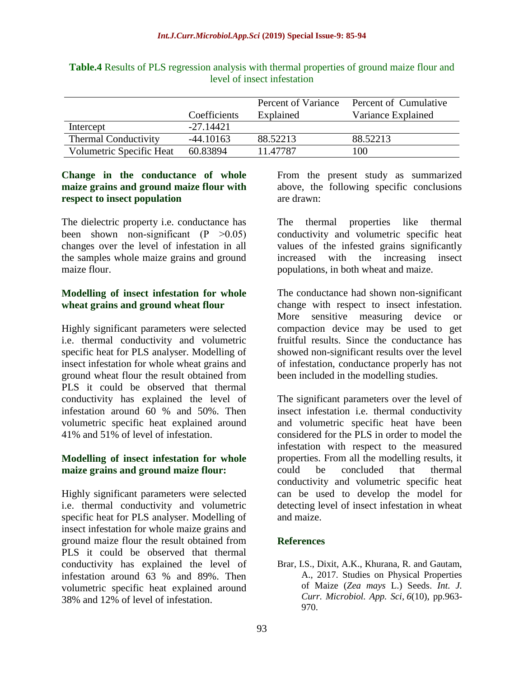|                             | Coefficients | Percent of Variance<br>Explained | Percent of Cumulative<br>Variance Explained |
|-----------------------------|--------------|----------------------------------|---------------------------------------------|
| Intercept                   | $-27.14421$  |                                  |                                             |
| <b>Thermal Conductivity</b> | -44.10163    | 88.52213                         | 88.52213                                    |
| Volumetric Specific Heat    | 60.83894     | 11.47787                         | 100                                         |

**Table.4** Results of PLS regression analysis with thermal properties of ground maize flour and level of insect infestation

### **Change in the conductance of whole maize grains and ground maize flour with respect to insect population**

The dielectric property i.e. conductance has been shown non-significant  $(P \geq 0.05)$ changes over the level of infestation in all the samples whole maize grains and ground maize flour.

## **Modelling of insect infestation for whole wheat grains and ground wheat flour**

Highly significant parameters were selected i.e. thermal conductivity and volumetric specific heat for PLS analyser. Modelling of insect infestation for whole wheat grains and ground wheat flour the result obtained from PLS it could be observed that thermal conductivity has explained the level of infestation around 60 % and 50%. Then volumetric specific heat explained around 41% and 51% of level of infestation.

## **Modelling of insect infestation for whole maize grains and ground maize flour:**

Highly significant parameters were selected i.e. thermal conductivity and volumetric specific heat for PLS analyser. Modelling of insect infestation for whole maize grains and ground maize flour the result obtained from PLS it could be observed that thermal conductivity has explained the level of infestation around 63 % and 89%. Then volumetric specific heat explained around 38% and 12% of level of infestation.

From the present study as summarized above, the following specific conclusions are drawn:

The thermal properties like thermal conductivity and volumetric specific heat values of the infested grains significantly increased with the increasing insect populations, in both wheat and maize.

The conductance had shown non-significant change with respect to insect infestation. More sensitive measuring device or compaction device may be used to get fruitful results. Since the conductance has showed non-significant results over the level of infestation, conductance properly has not been included in the modelling studies.

The significant parameters over the level of insect infestation i.e. thermal conductivity and volumetric specific heat have been considered for the PLS in order to model the infestation with respect to the measured properties. From all the modelling results, it could be concluded that thermal conductivity and volumetric specific heat can be used to develop the model for detecting level of insect infestation in wheat and maize.

# **References**

Brar, I.S., Dixit, A.K., Khurana, R. and Gautam, A., 2017. Studies on Physical Properties of Maize (*Zea mays* L.) Seeds. *Int. J. Curr. Microbiol. App. Sci*, *6*(10), pp.963- 970.